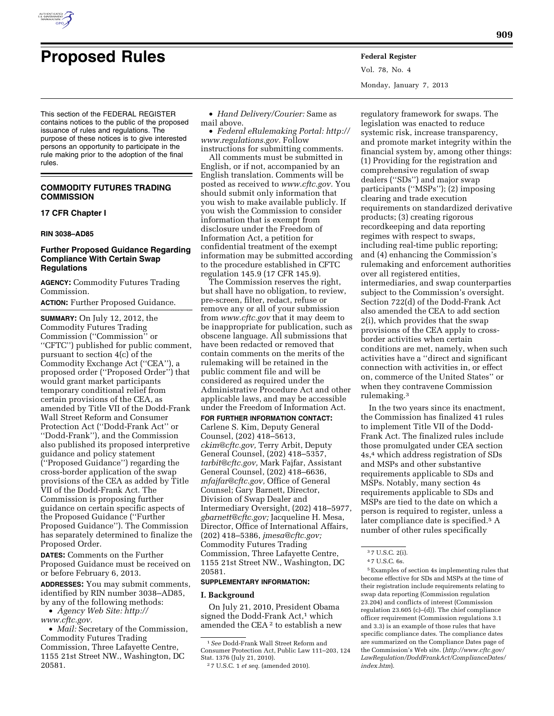

Vol. 78, No. 4 Monday, January 7, 2013

This section of the FEDERAL REGISTER contains notices to the public of the proposed issuance of rules and regulations. The purpose of these notices is to give interested persons an opportunity to participate in the rule making prior to the adoption of the final rules.

# **COMMODITY FUTURES TRADING COMMISSION**

# **17 CFR Chapter I**

# **RIN 3038–AD85**

# **Further Proposed Guidance Regarding Compliance With Certain Swap Regulations**

**AGENCY:** Commodity Futures Trading Commission.

**ACTION:** Further Proposed Guidance.

**SUMMARY:** On July 12, 2012, the Commodity Futures Trading Commission (''Commission'' or ''CFTC'') published for public comment, pursuant to section 4(c) of the Commodity Exchange Act (''CEA''), a proposed order (''Proposed Order'') that would grant market participants temporary conditional relief from certain provisions of the CEA, as amended by Title VII of the Dodd-Frank Wall Street Reform and Consumer Protection Act (''Dodd-Frank Act'' or ''Dodd-Frank''), and the Commission also published its proposed interpretive guidance and policy statement (''Proposed Guidance'') regarding the cross-border application of the swap provisions of the CEA as added by Title VII of the Dodd-Frank Act. The Commission is proposing further guidance on certain specific aspects of the Proposed Guidance (''Further Proposed Guidance''). The Commission has separately determined to finalize the Proposed Order.

**DATES:** Comments on the Further Proposed Guidance must be received on or before February 6, 2013.

**ADDRESSES:** You may submit comments, identified by RIN number 3038–AD85, by any of the following methods:

• *Agency Web Site: [http://](http://www.cftc.gov)  [www.cftc.gov.](http://www.cftc.gov)* 

• *Mail:* Secretary of the Commission, Commodity Futures Trading Commission, Three Lafayette Centre, 1155 21st Street NW., Washington, DC 20581.

• *Hand Delivery/Courier:* Same as mail above.

• *Federal eRulemaking Portal: [http://](http://www.regulations.gov)  [www.regulations.gov.](http://www.regulations.gov)* Follow

instructions for submitting comments. All comments must be submitted in English, or if not, accompanied by an English translation. Comments will be posted as received to *[www.cftc.gov.](http://www.cftc.gov)* You should submit only information that you wish to make available publicly. If you wish the Commission to consider information that is exempt from disclosure under the Freedom of Information Act, a petition for confidential treatment of the exempt information may be submitted according to the procedure established in CFTC regulation 145.9 (17 CFR 145.9).

The Commission reserves the right, but shall have no obligation, to review, pre-screen, filter, redact, refuse or remove any or all of your submission from *[www.cftc.gov](http://www.cftc.gov)* that it may deem to be inappropriate for publication, such as obscene language. All submissions that have been redacted or removed that contain comments on the merits of the rulemaking will be retained in the public comment file and will be considered as required under the Administrative Procedure Act and other applicable laws, and may be accessible under the Freedom of Information Act.

**FOR FURTHER INFORMATION CONTACT:**  Carlene S. Kim, Deputy General Counsel, (202) 418–5613, *[ckim@cftc.gov,](mailto:ckim@cftc.gov)* Terry Arbit, Deputy General Counsel, (202) 418–5357, *[tarbit@cftc.gov,](mailto:tarbit@cftc.gov)* Mark Fajfar, Assistant General Counsel, (202) 418–6636, *[mfajfar@cftc.gov,](mailto:mfajfar@cftc.gov)* Office of General Counsel; Gary Barnett, Director, Division of Swap Dealer and Intermediary Oversight, (202) 418–5977, *[gbarnett@cftc.gov;](mailto:gbarnett@cftc.gov)* Jacqueline H. Mesa, Director, Office of International Affairs, (202) 418–5386, *[jmesa@cftc.gov;](mailto:jmesa@cftc.gov)*  Commodity Futures Trading Commission, Three Lafayette Centre, 1155 21st Street NW., Washington, DC 20581.

#### **SUPPLEMENTARY INFORMATION:**

### **I. Background**

On July 21, 2010, President Obama signed the Dodd-Frank Act,<sup>1</sup> which amended the CEA 2 to establish a new

regulatory framework for swaps. The legislation was enacted to reduce systemic risk, increase transparency, and promote market integrity within the financial system by, among other things: (1) Providing for the registration and comprehensive regulation of swap dealers (''SDs'') and major swap participants (''MSPs''); (2) imposing clearing and trade execution requirements on standardized derivative products; (3) creating rigorous recordkeeping and data reporting regimes with respect to swaps, including real-time public reporting; and (4) enhancing the Commission's rulemaking and enforcement authorities over all registered entities, intermediaries, and swap counterparties subject to the Commission's oversight. Section 722(d) of the Dodd-Frank Act also amended the CEA to add section 2(i), which provides that the swap provisions of the CEA apply to crossborder activities when certain conditions are met, namely, when such activities have a ''direct and significant connection with activities in, or effect on, commerce of the United States'' or when they contravene Commission rulemaking.3

In the two years since its enactment, the Commission has finalized 41 rules to implement Title VII of the Dodd-Frank Act. The finalized rules include those promulgated under CEA section 4s,4 which address registration of SDs and MSPs and other substantive requirements applicable to SDs and MSPs. Notably, many section 4s requirements applicable to SDs and MSPs are tied to the date on which a person is required to register, unless a later compliance date is specified.5 A number of other rules specifically

5Examples of section 4s implementing rules that become effective for SDs and MSPs at the time of their registration include requirements relating to swap data reporting (Commission regulation 23.204) and conflicts of interest (Commission regulation 23.605 (c)–(d)). The chief compliance officer requirement (Commission regulations 3.1 and 3.3) is an example of those rules that have specific compliance dates. The compliance dates are summarized on the Compliance Dates page of the Commission's Web site. (*[http://www.cftc.gov/](http://www.cftc.gov/LawRegulation/DoddFrankAct/ComplianceDates/index.htm)  [LawRegulation/DoddFrankAct/ComplianceDates/](http://www.cftc.gov/LawRegulation/DoddFrankAct/ComplianceDates/index.htm) [index.htm](http://www.cftc.gov/LawRegulation/DoddFrankAct/ComplianceDates/index.htm)*).

<sup>1</sup>*See* Dodd-Frank Wall Street Reform and Consumer Protection Act, Public Law 111–203, 124 Stat. 1376 (July 21, 2010).

<sup>2</sup> 7 U.S.C. 1 *et seq.* (amended 2010).

<sup>3</sup> 7 U.S.C. 2(i). 4 7 U.S.C. 6s.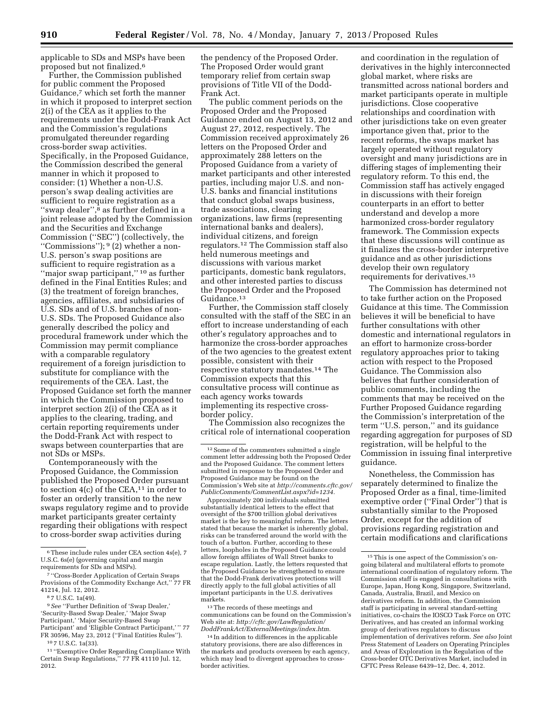applicable to SDs and MSPs have been proposed but not finalized.6

Further, the Commission published for public comment the Proposed Guidance,<sup>7</sup> which set forth the manner in which it proposed to interpret section 2(i) of the CEA as it applies to the requirements under the Dodd-Frank Act and the Commission's regulations promulgated thereunder regarding cross-border swap activities. Specifically, in the Proposed Guidance, the Commission described the general manner in which it proposed to consider: (1) Whether a non-U.S. person's swap dealing activities are sufficient to require registration as a "swap dealer",<sup>8</sup> as further defined in a joint release adopted by the Commission and the Securities and Exchange Commission (''SEC'') (collectively, the ''Commissions''); 9 (2) whether a non-U.S. person's swap positions are sufficient to require registration as a "major swap participant,"<sup>10</sup> as further defined in the Final Entities Rules; and (3) the treatment of foreign branches, agencies, affiliates, and subsidiaries of U.S. SDs and of U.S. branches of non-U.S. SDs. The Proposed Guidance also generally described the policy and procedural framework under which the Commission may permit compliance with a comparable regulatory requirement of a foreign jurisdiction to substitute for compliance with the requirements of the CEA. Last, the Proposed Guidance set forth the manner in which the Commission proposed to interpret section 2(i) of the CEA as it applies to the clearing, trading, and certain reporting requirements under the Dodd-Frank Act with respect to swaps between counterparties that are not SDs or MSPs.

Contemporaneously with the Proposed Guidance, the Commission published the Proposed Order pursuant to section  $4(c)$  of the CEA,<sup>11</sup> in order to foster an orderly transition to the new swaps regulatory regime and to provide market participants greater certainty regarding their obligations with respect to cross-border swap activities during

8 7 U.S.C. 1a(49).

9*See* ''Further Definition of 'Swap Dealer,' 'Security-Based Swap Dealer,' 'Major Swap Participant,' 'Major Security-Based Swap Participant' and 'Eligible Contract Participant,'" 77 FR 30596, May 23, 2012 (''Final Entities Rules'').

10 7 U.S.C. 1a(33).

11 ''Exemptive Order Regarding Compliance With Certain Swap Regulations,'' 77 FR 41110 Jul. 12, 2012.

the pendency of the Proposed Order. The Proposed Order would grant temporary relief from certain swap provisions of Title VII of the Dodd-Frank Act.

The public comment periods on the Proposed Order and the Proposed Guidance ended on August 13, 2012 and August 27, 2012, respectively. The Commission received approximately 26 letters on the Proposed Order and approximately 288 letters on the Proposed Guidance from a variety of market participants and other interested parties, including major U.S. and non-U.S. banks and financial institutions that conduct global swaps business, trade associations, clearing organizations, law firms (representing international banks and dealers), individual citizens, and foreign regulators.12 The Commission staff also held numerous meetings and discussions with various market participants, domestic bank regulators, and other interested parties to discuss the Proposed Order and the Proposed Guidance.13

Further, the Commission staff closely consulted with the staff of the SEC in an effort to increase understanding of each other's regulatory approaches and to harmonize the cross-border approaches of the two agencies to the greatest extent possible, consistent with their respective statutory mandates.14 The Commission expects that this consultative process will continue as each agency works towards implementing its respective crossborder policy.

The Commission also recognizes the critical role of international cooperation

Approximately 200 individuals submitted substantially identical letters to the effect that oversight of the \$700 trillion global derivatives market is the key to meaningful reform. The letters stated that because the market is inherently global, risks can be transferred around the world with the touch of a button. Further, according to these letters, loopholes in the Proposed Guidance could allow foreign affiliates of Wall Street banks to escape regulation. Lastly, the letters requested that the Proposed Guidance be strengthened to ensure that the Dodd-Frank derivatives protections will directly apply to the full global activities of all important participants in the U.S. derivatives markets.

13The records of these meetings and communications can be found on the Commission's Web site at: *[http://cftc.gov/LawRegulation/](http://cftc.gov/LawRegulation/DoddFrankAct/ExternalMeetings/index.htm)  [DoddFrankAct/ExternalMeetings/index.htm.](http://cftc.gov/LawRegulation/DoddFrankAct/ExternalMeetings/index.htm)* 

14 In addition to differences in the applicable statutory provisions, there are also differences in the markets and products overseen by each agency, which may lead to divergent approaches to crossborder activities.

and coordination in the regulation of derivatives in the highly interconnected global market, where risks are transmitted across national borders and market participants operate in multiple jurisdictions. Close cooperative relationships and coordination with other jurisdictions take on even greater importance given that, prior to the recent reforms, the swaps market has largely operated without regulatory oversight and many jurisdictions are in differing stages of implementing their regulatory reform. To this end, the Commission staff has actively engaged in discussions with their foreign counterparts in an effort to better understand and develop a more harmonized cross-border regulatory framework. The Commission expects that these discussions will continue as it finalizes the cross-border interpretive guidance and as other jurisdictions develop their own regulatory requirements for derivatives.15

The Commission has determined not to take further action on the Proposed Guidance at this time. The Commission believes it will be beneficial to have further consultations with other domestic and international regulators in an effort to harmonize cross-border regulatory approaches prior to taking action with respect to the Proposed Guidance. The Commission also believes that further consideration of public comments, including the comments that may be received on the Further Proposed Guidance regarding the Commission's interpretation of the term ''U.S. person,'' and its guidance regarding aggregation for purposes of SD registration, will be helpful to the Commission in issuing final interpretive guidance.

Nonetheless, the Commission has separately determined to finalize the Proposed Order as a final, time-limited exemptive order (''Final Order'') that is substantially similar to the Proposed Order, except for the addition of provisions regarding registration and certain modifications and clarifications

<sup>6</sup>These include rules under CEA section 4s(e), 7 U.S.C. 6s(e) (governing capital and margin requirements for SDs and MSPs).

<sup>7</sup> ''Cross-Border Application of Certain Swaps Provisions of the Commodity Exchange Act," 77 FR 41214, Jul. 12, 2012.

 $^{\rm 12}$  Some of the commenters submitted a single comment letter addressing both the Proposed Order and the Proposed Guidance. The comment letters submitted in response to the Proposed Order and Proposed Guidance may be found on the Commission's Web site at *[http://comments.cftc.gov/](http://comments.cftc.gov/PublicComments/CommentList.aspx?id=1234) [PublicComments/CommentList.aspx?id=1234.](http://comments.cftc.gov/PublicComments/CommentList.aspx?id=1234)* 

<sup>15</sup>This is one aspect of the Commission's ongoing bilateral and multilateral efforts to promote international coordination of regulatory reform. The Commission staff is engaged in consultations with Europe, Japan, Hong Kong, Singapore, Switzerland, Canada, Australia, Brazil, and Mexico on derivatives reform. In addition, the Commission staff is participating in several standard-setting initiatives, co-chairs the IOSCO Task Force on OTC Derivatives, and has created an informal working group of derivatives regulators to discuss implementation of derivatives reform. *See also* Joint Press Statement of Leaders on Operating Principles and Areas of Exploration in the Regulation of the Cross-border OTC Derivatives Market, included in CFTC Press Release 6439–12, Dec. 4, 2012.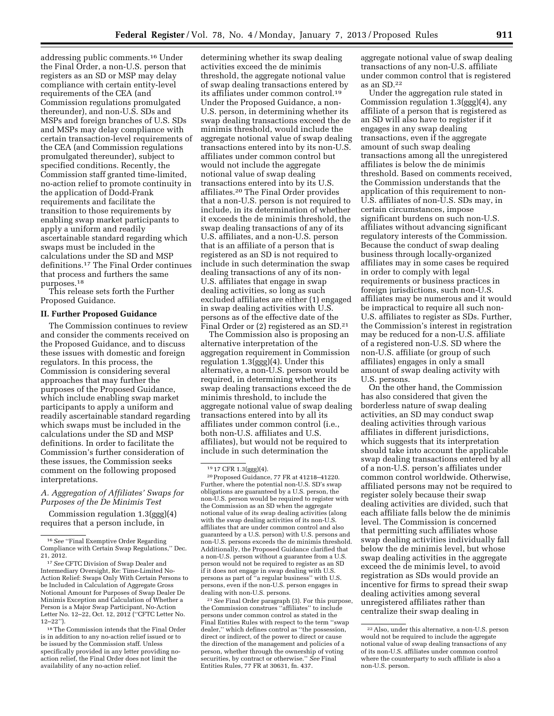addressing public comments.16 Under the Final Order, a non-U.S. person that registers as an SD or MSP may delay compliance with certain entity-level requirements of the CEA (and Commission regulations promulgated thereunder), and non-U.S. SDs and MSPs and foreign branches of U.S. SDs and MSPs may delay compliance with certain transaction-level requirements of the CEA (and Commission regulations promulgated thereunder), subject to specified conditions. Recently, the Commission staff granted time-limited, no-action relief to promote continuity in the application of Dodd-Frank requirements and facilitate the transition to those requirements by enabling swap market participants to apply a uniform and readily ascertainable standard regarding which swaps must be included in the calculations under the SD and MSP definitions.17 The Final Order continues that process and furthers the same purposes.18

This release sets forth the Further Proposed Guidance.

# **II. Further Proposed Guidance**

The Commission continues to review and consider the comments received on the Proposed Guidance, and to discuss these issues with domestic and foreign regulators. In this process, the Commission is considering several approaches that may further the purposes of the Proposed Guidance, which include enabling swap market participants to apply a uniform and readily ascertainable standard regarding which swaps must be included in the calculations under the SD and MSP definitions. In order to facilitate the Commission's further consideration of these issues, the Commission seeks comment on the following proposed interpretations.

# *A. Aggregation of Affiliates' Swaps for Purposes of the De Minimis Test*

Commission regulation 1.3(ggg)(4) requires that a person include, in

determining whether its swap dealing activities exceed the de minimis threshold, the aggregate notional value of swap dealing transactions entered by its affiliates under common control.19 Under the Proposed Guidance, a non-U.S. person, in determining whether its swap dealing transactions exceed the de minimis threshold, would include the aggregate notional value of swap dealing transactions entered into by its non-U.S. affiliates under common control but would not include the aggregate notional value of swap dealing transactions entered into by its U.S. affiliates.20 The Final Order provides that a non-U.S. person is not required to include, in its determination of whether it exceeds the de minimis threshold, the swap dealing transactions of any of its U.S. affiliates, and a non-U.S. person that is an affiliate of a person that is registered as an SD is not required to include in such determination the swap dealing transactions of any of its non-U.S. affiliates that engage in swap dealing activities, so long as such excluded affiliates are either (1) engaged in swap dealing activities with U.S. persons as of the effective date of the Final Order or (2) registered as an SD.21

The Commission also is proposing an alternative interpretation of the aggregation requirement in Commission regulation 1.3(ggg)(4). Under this alternative, a non-U.S. person would be required, in determining whether its swap dealing transactions exceed the de minimis threshold, to include the aggregate notional value of swap dealing transactions entered into by all its affiliates under common control (i.e., both non-U.S. affiliates and U.S. affiliates), but would not be required to include in such determination the

20Proposed Guidance, 77 FR at 41218–41220. Further, where the potential non-U.S. SD's swap obligations are guaranteed by a U.S. person, the non-U.S. person would be required to register with the Commission as an SD when the aggregate notional value of its swap dealing activities (along with the swap dealing activities of its non-U.S. affiliates that are under common control and also guaranteed by a U.S. person) with U.S. persons and non-U.S. persons exceeds the de minimis threshold. Additionally, the Proposed Guidance clarified that a non-U.S. person without a guarantee from a U.S. person would not be required to register as an SD if it does not engage in swap dealing with U.S. persons as part of ''a regular business'' with U.S. persons, even if the non-U.S. person engages in dealing with non-U.S. persons.

21*See* Final Order paragraph (3). For this purpose, the Commission construes ''affiliates'' to include persons under common control as stated in the Final Entities Rules with respect to the term ''swap dealer,'' which defines control as ''the possession, direct or indirect, of the power to direct or cause the direction of the management and policies of a person, whether through the ownership of voting securities, by contract or otherwise.'' *See* Final Entities Rules, 77 FR at 30631, fn. 437.

aggregate notional value of swap dealing transactions of any non-U.S. affiliate under common control that is registered as an SD.22

Under the aggregation rule stated in Commission regulation 1.3(ggg)(4), any affiliate of a person that is registered as an SD will also have to register if it engages in any swap dealing transactions, even if the aggregate amount of such swap dealing transactions among all the unregistered affiliates is below the de minimis threshold. Based on comments received, the Commission understands that the application of this requirement to non-U.S. affiliates of non-U.S. SDs may, in certain circumstances, impose significant burdens on such non-U.S. affiliates without advancing significant regulatory interests of the Commission. Because the conduct of swap dealing business through locally-organized affiliates may in some cases be required in order to comply with legal requirements or business practices in foreign jurisdictions, such non-U.S. affiliates may be numerous and it would be impractical to require all such non-U.S. affiliates to register as SDs. Further, the Commission's interest in registration may be reduced for a non-U.S. affiliate of a registered non-U.S. SD where the non-U.S. affiliate (or group of such affiliates) engages in only a small amount of swap dealing activity with U.S. persons.

On the other hand, the Commission has also considered that given the borderless nature of swap dealing activities, an SD may conduct swap dealing activities through various affiliates in different jurisdictions, which suggests that its interpretation should take into account the applicable swap dealing transactions entered by all of a non-U.S. person's affiliates under common control worldwide. Otherwise, affiliated persons may not be required to register solely because their swap dealing activities are divided, such that each affiliate falls below the de minimis level. The Commission is concerned that permitting such affiliates whose swap dealing activities individually fall below the de minimis level, but whose swap dealing activities in the aggregate exceed the de minimis level, to avoid registration as SDs would provide an incentive for firms to spread their swap dealing activities among several unregistered affiliates rather than centralize their swap dealing in

<sup>16</sup>*See* ''Final Exemptive Order Regarding Compliance with Certain Swap Regulations,'' Dec. 21, 2012.

<sup>17</sup>*See* CFTC Division of Swap Dealer and Intermediary Oversight, Re: Time-Limited No-Action Relief: Swaps Only With Certain Persons to be Included in Calculation of Aggregate Gross Notional Amount for Purposes of Swap Dealer De Minimis Exception and Calculation of Whether a Person is a Major Swap Participant, No-Action Letter No. 12–22, Oct. 12, 2012 (''CFTC Letter No. 12–22'').

<sup>18</sup>The Commission intends that the Final Order is in addition to any no-action relief issued or to be issued by the Commission staff. Unless specifically provided in any letter providing noaction relief, the Final Order does not limit the availability of any no-action relief.

<sup>19</sup> 17 CFR 1.3(ggg)(4).

<sup>22</sup>Also, under this alternative, a non-U.S. person would not be required to include the aggregate notional value of swap dealing transactions of any of its non-U.S. affiliates under common control where the counterparty to such affiliate is also a non-U.S. person.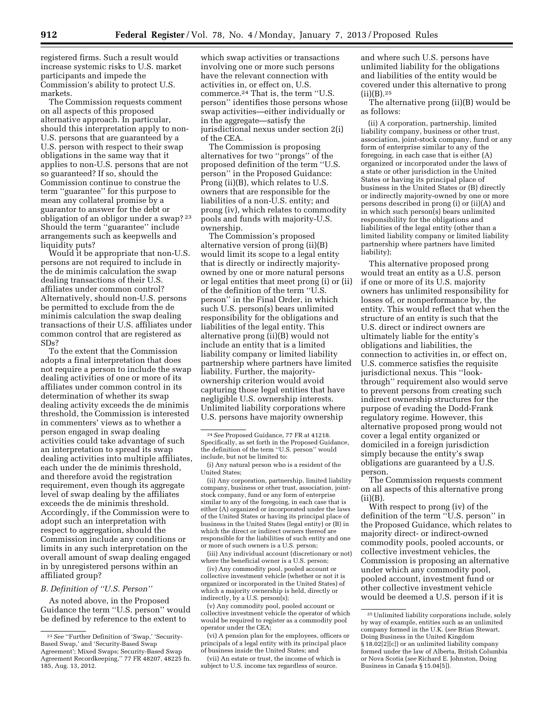registered firms. Such a result would increase systemic risks to U.S. market participants and impede the Commission's ability to protect U.S. markets.

The Commission requests comment on all aspects of this proposed alternative approach. In particular, should this interpretation apply to non-U.S. persons that are guaranteed by a U.S. person with respect to their swap obligations in the same way that it applies to non-U.S. persons that are not so guaranteed? If so, should the Commission continue to construe the term ''guarantee'' for this purpose to mean any collateral promise by a guarantor to answer for the debt or obligation of an obligor under a swap? 23 Should the term ''guarantee'' include arrangements such as keepwells and liquidity puts?

Would it be appropriate that non-U.S. persons are not required to include in the de minimis calculation the swap dealing transactions of their U.S. affiliates under common control? Alternatively, should non-U.S. persons be permitted to exclude from the de minimis calculation the swap dealing transactions of their U.S. affiliates under common control that are registered as SDs?

To the extent that the Commission adopts a final interpretation that does not require a person to include the swap dealing activities of one or more of its affiliates under common control in its determination of whether its swap dealing activity exceeds the de minimis threshold, the Commission is interested in commenters' views as to whether a person engaged in swap dealing activities could take advantage of such an interpretation to spread its swap dealing activities into multiple affiliates, each under the de minimis threshold, and therefore avoid the registration requirement, even though its aggregate level of swap dealing by the affiliates exceeds the de minimis threshold. Accordingly, if the Commission were to adopt such an interpretation with respect to aggregation, should the Commission include any conditions or limits in any such interpretation on the overall amount of swap dealing engaged in by unregistered persons within an affiliated group?

### *B. Definition of ''U.S. Person''*

As noted above, in the Proposed Guidance the term ''U.S. person'' would be defined by reference to the extent to

which swap activities or transactions involving one or more such persons have the relevant connection with activities in, or effect on, U.S. commerce.24 That is, the term ''U.S. person'' identifies those persons whose swap activities—either individually or in the aggregate—satisfy the jurisdictional nexus under section 2(i) of the CEA.

The Commission is proposing alternatives for two ''prongs'' of the proposed definition of the term ''U.S. person'' in the Proposed Guidance: Prong (ii)(B), which relates to U.S. owners that are responsible for the liabilities of a non-U.S. entity; and prong (iv), which relates to commodity pools and funds with majority-U.S. ownership.

The Commission's proposed alternative version of prong (ii)(B) would limit its scope to a legal entity that is directly or indirectly majorityowned by one or more natural persons or legal entities that meet prong (i) or (ii) of the definition of the term ''U.S. person'' in the Final Order, in which such U.S. person(s) bears unlimited responsibility for the obligations and liabilities of the legal entity. This alternative prong (ii)(B) would not include an entity that is a limited liability company or limited liability partnership where partners have limited liability. Further, the majorityownership criterion would avoid capturing those legal entities that have negligible U.S. ownership interests. Unlimited liability corporations where U.S. persons have majority ownership

(ii) Any corporation, partnership, limited liability company, business or other trust, association, jointstock company, fund or any form of enterprise similar to any of the foregoing, in each case that is either (A) organized or incorporated under the laws of the United States or having its principal place of business in the United States (legal entity) or (B) in which the direct or indirect owners thereof are responsible for the liabilities of such entity and one or more of such owners is a U.S. person;

(iii) Any individual account (discretionary or not) where the beneficial owner is a U.S. person;

(iv) Any commodity pool, pooled account or collective investment vehicle (whether or not it is organized or incorporated in the United States) of which a majority ownership is held, directly or indirectly, by a U.S. person(s);

(v) Any commodity pool, pooled account or collective investment vehicle the operator of which would be required to register as a commodity pool operator under the CEA;

(vii) An estate or trust, the income of which is subject to U.S. income tax regardless of source.

and where such U.S. persons have unlimited liability for the obligations and liabilities of the entity would be covered under this alternative to prong (ii)(B).25

The alternative prong (ii)(B) would be as follows:

(ii) A corporation, partnership, limited liability company, business or other trust, association, joint-stock company, fund or any form of enterprise similar to any of the foregoing, in each case that is either (A) organized or incorporated under the laws of a state or other jurisdiction in the United States or having its principal place of business in the United States or (B) directly or indirectly majority-owned by one or more persons described in prong (i) or (ii)(A) and in which such person(s) bears unlimited responsibility for the obligations and liabilities of the legal entity (other than a limited liability company or limited liability partnership where partners have limited liability);

This alternative proposed prong would treat an entity as a U.S. person if one or more of its U.S. majority owners has unlimited responsibility for losses of, or nonperformance by, the entity. This would reflect that when the structure of an entity is such that the U.S. direct or indirect owners are ultimately liable for the entity's obligations and liabilities, the connection to activities in, or effect on, U.S. commerce satisfies the requisite jurisdictional nexus. This ''lookthrough'' requirement also would serve to prevent persons from creating such indirect ownership structures for the purpose of evading the Dodd-Frank regulatory regime. However, this alternative proposed prong would not cover a legal entity organized or domiciled in a foreign jurisdiction simply because the entity's swap obligations are guaranteed by a U.S. person.

The Commission requests comment on all aspects of this alternative prong  $(ii)(B).$ 

With respect to prong (iv) of the definition of the term ''U.S. person'' in the Proposed Guidance, which relates to majority direct- or indirect-owned commodity pools, pooled accounts, or collective investment vehicles, the Commission is proposing an alternative under which any commodity pool, pooled account, investment fund or other collective investment vehicle would be deemed a U.S. person if it is

<sup>23</sup>*See* ''Further Definition of 'Swap,' 'Security-Based Swap,' and 'Security-Based Swap Agreement'; Mixed Swaps; Security-Based Swap Agreement Recordkeeping,'' 77 FR 48207, 48225 fn. 185, Aug. 13, 2012.

<sup>24</sup>*See* Proposed Guidance, 77 FR at 41218. Specifically, as set forth in the Proposed Guidance, the definition of the term ''U.S. person'' would include, but not be limited to:

<sup>(</sup>i) Any natural person who is a resident of the United States;

<sup>(</sup>vi) A pension plan for the employees, officers or principals of a legal entity with its principal place of business inside the United States; and

<sup>25</sup>Unlimited liability corporations include, solely by way of example, entities such as an unlimited company formed in the U.K. (*see* Brian Stewart, Doing Business in the United Kingdom § 18.02[2][c]) or an unlimited liability company formed under the law of Alberta, British Columbia or Nova Scotia (*see* Richard E. Johnston, Doing Business in Canada § 15.04[5]).